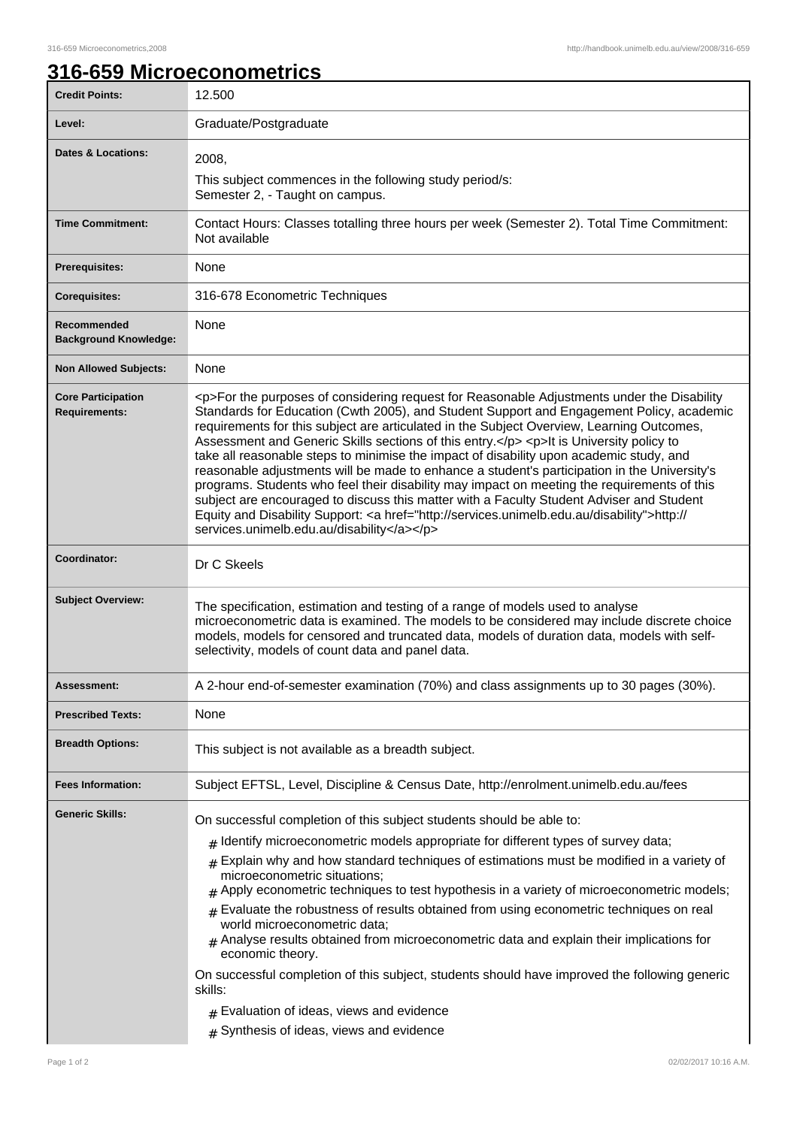## **316-659 Microeconometrics**

| <b>Credit Points:</b>                             | 12.500                                                                                                                                                                                                                                                                                                                                                                                                                                                                                                                                                                                                                                                                                                                                                                                                                                                                                                                       |
|---------------------------------------------------|------------------------------------------------------------------------------------------------------------------------------------------------------------------------------------------------------------------------------------------------------------------------------------------------------------------------------------------------------------------------------------------------------------------------------------------------------------------------------------------------------------------------------------------------------------------------------------------------------------------------------------------------------------------------------------------------------------------------------------------------------------------------------------------------------------------------------------------------------------------------------------------------------------------------------|
| Level:                                            | Graduate/Postgraduate                                                                                                                                                                                                                                                                                                                                                                                                                                                                                                                                                                                                                                                                                                                                                                                                                                                                                                        |
| <b>Dates &amp; Locations:</b>                     | 2008,<br>This subject commences in the following study period/s:<br>Semester 2, - Taught on campus.                                                                                                                                                                                                                                                                                                                                                                                                                                                                                                                                                                                                                                                                                                                                                                                                                          |
| <b>Time Commitment:</b>                           | Contact Hours: Classes totalling three hours per week (Semester 2). Total Time Commitment:<br>Not available                                                                                                                                                                                                                                                                                                                                                                                                                                                                                                                                                                                                                                                                                                                                                                                                                  |
| Prerequisites:                                    | None                                                                                                                                                                                                                                                                                                                                                                                                                                                                                                                                                                                                                                                                                                                                                                                                                                                                                                                         |
| <b>Corequisites:</b>                              | 316-678 Econometric Techniques                                                                                                                                                                                                                                                                                                                                                                                                                                                                                                                                                                                                                                                                                                                                                                                                                                                                                               |
| Recommended<br><b>Background Knowledge:</b>       | None                                                                                                                                                                                                                                                                                                                                                                                                                                                                                                                                                                                                                                                                                                                                                                                                                                                                                                                         |
| <b>Non Allowed Subjects:</b>                      | None                                                                                                                                                                                                                                                                                                                                                                                                                                                                                                                                                                                                                                                                                                                                                                                                                                                                                                                         |
| <b>Core Participation</b><br><b>Requirements:</b> | <p>For the purposes of considering request for Reasonable Adjustments under the Disability<br/>Standards for Education (Cwth 2005), and Student Support and Engagement Policy, academic<br/>requirements for this subject are articulated in the Subject Overview, Learning Outcomes,<br/>Assessment and Generic Skills sections of this entry.</p> <p>lt is University policy to<br/>take all reasonable steps to minimise the impact of disability upon academic study, and<br/>reasonable adjustments will be made to enhance a student's participation in the University's<br/>programs. Students who feel their disability may impact on meeting the requirements of this<br/>subject are encouraged to discuss this matter with a Faculty Student Adviser and Student<br/>Equity and Disability Support: &lt; a href="http://services.unimelb.edu.au/disability"&gt;http://<br/>services.unimelb.edu.au/disability</p> |
| Coordinator:                                      | Dr C Skeels                                                                                                                                                                                                                                                                                                                                                                                                                                                                                                                                                                                                                                                                                                                                                                                                                                                                                                                  |
| <b>Subject Overview:</b>                          | The specification, estimation and testing of a range of models used to analyse<br>microeconometric data is examined. The models to be considered may include discrete choice<br>models, models for censored and truncated data, models of duration data, models with self-<br>selectivity, models of count data and panel data.                                                                                                                                                                                                                                                                                                                                                                                                                                                                                                                                                                                              |
| Assessment:                                       | A 2-hour end-of-semester examination (70%) and class assignments up to 30 pages (30%).                                                                                                                                                                                                                                                                                                                                                                                                                                                                                                                                                                                                                                                                                                                                                                                                                                       |
| <b>Prescribed Texts:</b>                          | None                                                                                                                                                                                                                                                                                                                                                                                                                                                                                                                                                                                                                                                                                                                                                                                                                                                                                                                         |
| <b>Breadth Options:</b>                           | This subject is not available as a breadth subject.                                                                                                                                                                                                                                                                                                                                                                                                                                                                                                                                                                                                                                                                                                                                                                                                                                                                          |
| <b>Fees Information:</b>                          | Subject EFTSL, Level, Discipline & Census Date, http://enrolment.unimelb.edu.au/fees                                                                                                                                                                                                                                                                                                                                                                                                                                                                                                                                                                                                                                                                                                                                                                                                                                         |
| <b>Generic Skills:</b>                            | On successful completion of this subject students should be able to:<br>$#$ Identify microeconometric models appropriate for different types of survey data;<br>$#$ Explain why and how standard techniques of estimations must be modified in a variety of<br>microeconometric situations;<br>Apply econometric techniques to test hypothesis in a variety of microeconometric models;<br>Evaluate the robustness of results obtained from using econometric techniques on real<br>world microeconometric data;<br>$#$ Analyse results obtained from microeconometric data and explain their implications for<br>economic theory.<br>On successful completion of this subject, students should have improved the following generic<br>skills:<br>$#$ Evaluation of ideas, views and evidence<br>$#$ Synthesis of ideas, views and evidence                                                                                  |